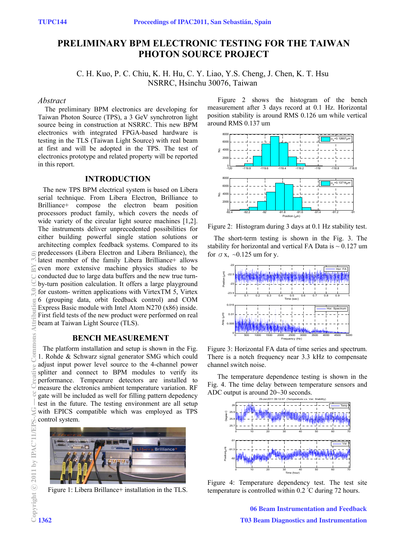# **PRELIMINARY BPM ELECTRONIC TESTING FOR THE TAIWAN PHOTON SOURCE PROJECT**

C. H. Kuo, P. C. Chiu, K. H. Hu, C. Y. Liao, Y.S. Cheng, J. Chen, K. T. Hsu NSRRC, Hsinchu 30076, Taiwan

#### *Abstract*

The preliminary BPM electronics are developing for Taiwan Photon Source (TPS), a 3 GeV synchrotron light source being in construction at NSRRC. This new BPM electronics with integrated FPGA-based hardware is testing in the TLS (Taiwan Light Source) with real beam at first and will be adopted in the TPS. The test of electronics prototype and related property will be reported in this report.

## **INTRODUCTION**

The new TPS BPM electrical system is based on Libera serial technique. From Libera Electron, Brilliance to Brilliance+ compose the electron beam position processors product family, which covers the needs of wide variety of the circular light source machines [1,2]. The instruments deliver unprecedented possibilities for either building powerful single station solutions or architecting complex feedback systems. Compared to its predecessors (Libera Electron and Libera Briliance), the latest member of the family Libera Brilliance+ allows even more extensive machine physics studies to be conducted due to large data buffers and the new true turnby-turn position calculation. It offers a large playground for custom- written applications with VirtexTM 5, Virtex 6 (grouping data, orbit feedback control) and COM Express Basic module with Intel Atom N270 (x86) inside. First field tests of the new product were performed on real beam at Taiwan Light Source (TLS).

## **BENCH MEASUREMENT**

The platform installation and setup is shown in the Fig. 1. Rohde & Schwarz signal generator SMG which could adjust input power level source to the 4-channel power splitter and connect to BPM modules to verify its performance. Tempearure detectors are installed to measure the elctronics ambient temperature variation. RF gate will be included as well for filling pattern depedency test in the future. The testing environment are all setup with EPICS compatible which was employed as TPS control system.



Figure 1: Libera Brillance+ installation in the TLS.

Figure 2 shows the histogram of the bench measurement after 3 days record at 0.1 Hz. Horizontal position stability is around RMS 0.126 um while vertical around RMS 0.137 um



Figure 2: Histogram during 3 days at 0.1 Hz stability test.

The short-term testing is shown in the Fig. 3. The stability for horizontal and vertical FA Data is  $\sim 0.127$  um for  $\sigma$  x,  $\sim$  0.125 um for y.



Figure 3: Horizontal FA data of time series and spectrum. There is a notch frequency near 3.3 kHz to compensate channel switch noise.

 The temperature dependence testing is shown in the Fig. 4. The time delay between temperature sensors and ADC output is around 20~30 seconds.



Figure 4: Temperature dependency test. The test site temperature is controlled within 0.2 ˚C during 72 hours.

06 Beam Instrumentation and Feedback T03 Beam Diagnostics and Instrumentation

ê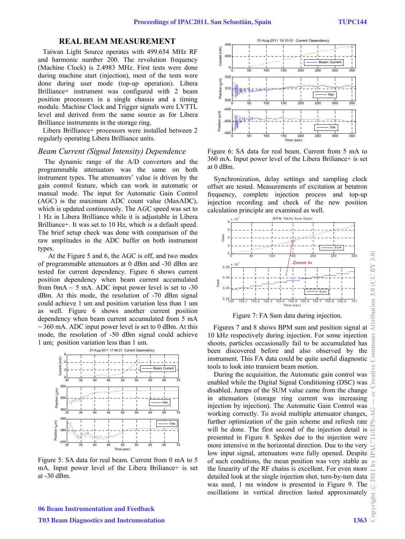# **REAL BEAM MEASUREMENT**

Taiwan Light Source operates with 499.654 MHz RF and harmonic number 200. The revolution frequency (Machine Clock) is 2.4983 MHz. First tests were done during machine start (injection), most of the tests were done during user mode (top-up operation). Libera Brilliance+ instrument was configured with 2 beam position processors in a single chassis and a timing module. Machine Clock and Trigger signals were LVTTL level and derived from the same source as for Libera Brilliance instruments in the storage ring.

Libera Brilliance+ processors were installed between 2 regularly operating Libera Brilliance units.

#### *Beam Current (Signal Intensity) Dependence*

The dynamic range of the A/D converters and the programmable attenuators was the same on both instrument types. The attenuators' value is driven by the gain control feature, which can work in automatic or manual mode. The input for Automatic Gain Control (AGC) is the maximum ADC count value (MaxADC), which is updated continuously. The A*G*C speed was set to 1 Hz in Libera Brilliance while it is adjustable in Libera Brilliance+. It was set to 10 Hz, which is a default speed. The brief setup check was done with comparison of the raw amplitudes in the ADC buffer on both instrument types.

At the Figure 5 and 6, the AGC is off, and two modes of programmable attenuators at 0 dBm and -30 dBm are tested for current dependency. Figure 6 shows current position dependency when beam current accumulated from 0mA  $\sim$  5 mA. ADC input power level is set to -30 dBm. At this mode, the resolution of -70 dBm signal could achieve 1 um and position variation less than 1 um as well. Figure 6 shows another current position dependency when beam current accumulated from 5 mA  $\sim$  360 mA. ADC input power level is set to 0 dBm. At this mode, the resolution of -50 dBm signal could achieve 1 um; position variation less than 1 um.



Figure 5: SA data for real beam. Current from 0 mA to 5 mA. Input power level of the Libera Briliance+ is set at -30 dBm.



Figure 6: SA data for real beam. Current from 5 mA to 360 mA. Input power level of the Libera Briliance+ is set at 0 dBm.

Synchronization, delay settings and sampling clock offset are tested. Measurements of excitation at betatron frequency, complete injection process and top-up injection recording and check of the new position calculation principle are examined as well.



Figure 7: FA Sum data during injection.

Figures 7 and 8 shows BPM sum and position signal at 10 kHz respectively during injection. For some injection shoots, particles occasionally fail to be accumulated has been discovered before and also observed by the instrument. This FA data could be quite useful diagnostic tools to look into transient beam motion.

During the acquisition, the Automatic gain control was enabled while the Digital Signal Conditioning (DSC) was disabled. Jumps of the SUM value came from the change in attenuators (storage ring current was increasing injection by injection). The Automatic Gain Control was working correctly. To avoid multiple attenuator changes, further optimization of the gain scheme and refresh rate will be done. The first second of the injection detail is presented in Figure 8. Spikes due to the injection were more intensive in the horizontal direction. Due to the very low input signal, attenuators were fully opened. Despite of such conditions, the mean position was very stable as the linearity of the RF chains is excellent. For even more detailed look at the single injection shot, turn-by-turn data was used, 1 ms window is presented in Figure 9. The oscillations in vertical direction lasted approximately